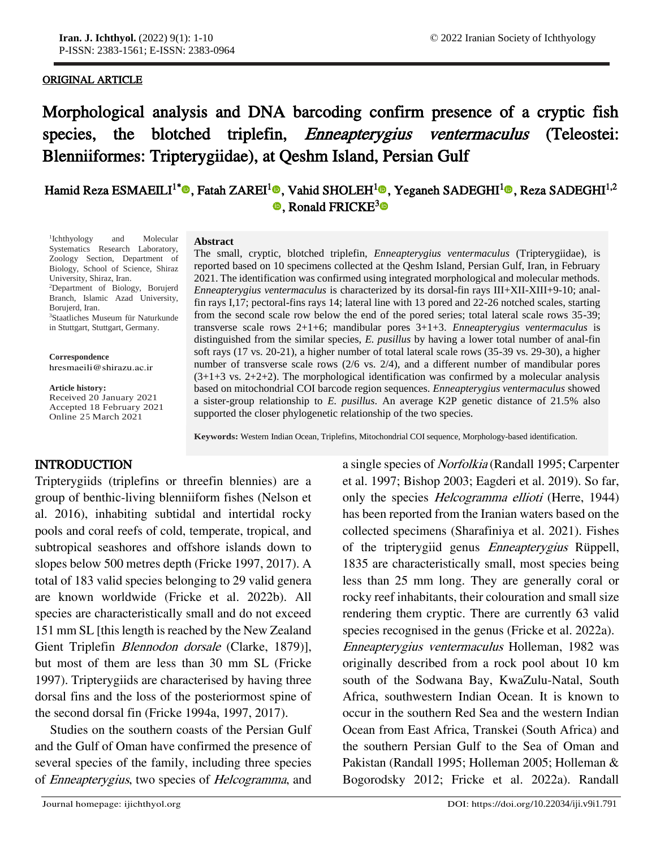## ORIGINAL ARTICLE

j

Morphological analysis and DNA barcoding confirm presence of a cryptic fish species, the blotched triplefin, Enneapterygius ventermaculus (Teleostei: Blenniiformes: Tripterygiidae), at Qeshm Island, Persian Gulf

# Hamid Reza ESMAEILI<sup>1[\\*](https://orcid.org/0000-0002-9736-397X)</sup>®[,](orcid.org/0000-0002-4596-7333) Fatah ZAREI<sup>[1](orcid.org/0000-0001-8248-7200)</sup>®, Vahid SHOLEH<sup>1</sup>®, Yeganeh SADEGHI<sup>1</sup>®, Reza SADEGHI<sup>1,2</sup>  $\bullet$ , Ronald FRICKE<sup>[3](https://orcid.org/0000-0003-1476-6990)</sup> $\bullet$

1 Ichthyology and Molecular Systematics Research Laboratory, Zoology Section, Department of Biology, School of Science, Shiraz University, Shiraz, Iran. <sup>2</sup>Department of Biology, Borujerd Branch, Islamic Azad University, Borujerd, Iran. <sup>3</sup>Staatliches Museum für Naturkunde in Stuttgart, Stuttgart, Germany.

**Correspondence** hresmaeili@shirazu.ac.ir

**Article history:** Received 20 January 2021 Accepted 18 February 2021

Online 25 March 2021

#### **Abstract**

The small, cryptic, blotched triplefin, *Enneapterygius ventermaculus* (Tripterygiidae), is reported based on 10 specimens collected at the Qeshm Island, Persian Gulf, Iran, in February 2021. The identification was confirmed using integrated morphological and molecular methods. *Enneapterygius ventermaculus* is characterized by its dorsal-fin rays III+XII-XIII+9-10; analfin rays I,17; pectoral-fins rays 14; lateral line with 13 pored and 22-26 notched scales, starting from the second scale row below the end of the pored series; total lateral scale rows 35-39; transverse scale rows 2+1+6; mandibular pores 3+1+3. *Enneapterygius ventermaculus* is distinguished from the similar species, *E. pusillus* by having a lower total number of anal-fin soft rays (17 vs. 20-21), a higher number of total lateral scale rows (35-39 vs. 29-30), a higher number of transverse scale rows (2/6 vs. 2/4), and a different number of mandibular pores  $(3+1+3 \text{ vs. } 2+2+2)$ . The morphological identification was confirmed by a molecular analysis based on mitochondrial COI barcode region sequences. *Enneapterygius ventermaculus* showed a sister-group relationship to *E. pusillus*. An average K2P genetic distance of 21.5% also supported the closer phylogenetic relationship of the two species.

**Keywords:** Western Indian Ocean, Triplefins, Mitochondrial COI sequence, Morphology-based identification.

## INTRODUCTION

Tripterygiids (triplefins or threefin blennies) are a group of benthic-living blenniiform fishes (Nelson et al. 2016), inhabiting subtidal and intertidal rocky pools and coral reefs of cold, temperate, tropical, and subtropical seashores and offshore islands down to slopes below 500 metres depth (Fricke 1997, 2017). A total of 183 valid species belonging to 29 valid genera are known worldwide (Fricke et al. 2022b). All species are characteristically small and do not exceed 151 mm SL [this length is reached by the New Zealand Gient Triplefin Blennodon dorsale (Clarke, 1879)], but most of them are less than 30 mm SL (Fricke 1997). Tripterygiids are characterised by having three dorsal fins and the loss of the posteriormost spine of the second dorsal fin (Fricke 1994a, 1997, 2017).

Studies on the southern coasts of the Persian Gulf and the Gulf of Oman have confirmed the presence of several species of the family, including three species of Enneapterygius, two species of Helcogramma, and

a single species of Norfolkia (Randall 1995; Carpenter et al. 1997; Bishop 2003; Eagderi et al. 2019). So far, only the species Helcogramma ellioti (Herre, 1944) has been reported from the Iranian waters based on the collected specimens (Sharafiniya et al. 2021). Fishes of the tripterygiid genus Enneapterygius Rüppell, 1835 are characteristically small, most species being less than 25 mm long. They are generally coral or rocky reef inhabitants, their colouration and small size rendering them cryptic. There are currently 63 valid species recognised in the genus (Fricke et al. 2022a). Enneapterygius ventermaculus Holleman, 1982 was originally described from a rock pool about 10 km south of the Sodwana Bay, KwaZulu-Natal, South Africa, southwestern Indian Ocean. It is known to occur in the southern Red Sea and the western Indian Ocean from East Africa, Transkei (South Africa) and the southern Persian Gulf to the Sea of Oman and Pakistan (Randall 1995; Holleman 2005; Holleman & Bogorodsky 2012; Fricke et al. 2022a). Randall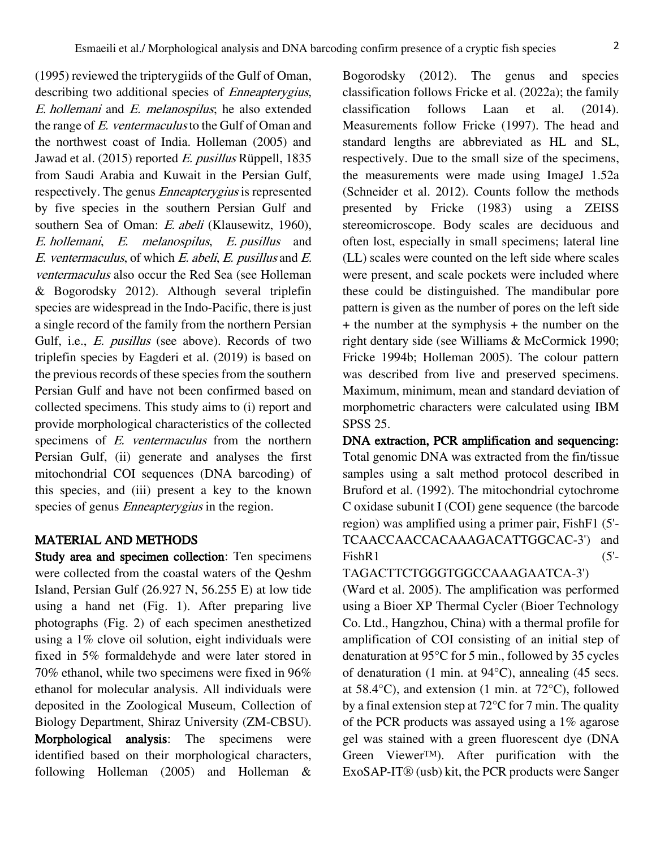(1995) reviewed the tripterygiids of the Gulf of Oman, describing two additional species of *Enneapterygius*, E. hollemani and E. melanospilus; he also extended the range of E. ventermaculus to the Gulf of Oman and the northwest coast of India. Holleman (2005) and Jawad et al. (2015) reported E. pusillus Rüppell, 1835 from Saudi Arabia and Kuwait in the Persian Gulf, respectively. The genus Enneapterygius is represented by five species in the southern Persian Gulf and southern Sea of Oman: E. abeli (Klausewitz, 1960), E. hollemani, E. melanospilus, E. pusillus and E. ventermaculus, of which E. abeli, E. pusillus and E. ventermaculus also occur the Red Sea (see Holleman & Bogorodsky 2012). Although several triplefin species are widespread in the Indo-Pacific, there is just a single record of the family from the northern Persian Gulf, i.e., E. pusillus (see above). Records of two triplefin species by Eagderi et al. (2019) is based on the previous records of these species from the southern Persian Gulf and have not been confirmed based on collected specimens. This study aims to (i) report and provide morphological characteristics of the collected specimens of E. ventermaculus from the northern Persian Gulf, (ii) generate and analyses the first mitochondrial COI sequences (DNA barcoding) of this species, and (iii) present a key to the known species of genus *Enneapterygius* in the region.

## MATERIAL AND METHODS

Study area and specimen collection: Ten specimens were collected from the coastal waters of the Qeshm Island, Persian Gulf  $(26.927 \text{ N}, 56.255 \text{ E})$  at low tide using a hand net (Fig. 1). After preparing live photographs (Fig. 2) of each specimen anesthetized using a 1% clove oil solution, eight individuals were fixed in 5% formaldehyde and were later stored in 70% ethanol, while two specimens were fixed in 96% ethanol for molecular analysis. All individuals were deposited in the Zoological Museum, Collection of Biology Department, Shiraz University (ZM-CBSU). Morphological analysis: The specimens were identified based on their morphological characters, following Holleman (2005) and Holleman &

Bogorodsky (2012). The genus and species classification follows Fricke et al. (2022a); the family classification follows Laan et al. (2014). Measurements follow Fricke (1997). The head and standard lengths are abbreviated as HL and SL, respectively. Due to the small size of the specimens, the measurements were made using ImageJ 1.52a (Schneider et al. 2012). Counts follow the methods presented by Fricke (1983) using a ZEISS stereomicroscope. Body scales are deciduous and often lost, especially in small specimens; lateral line (LL) scales were counted on the left side where scales were present, and scale pockets were included where these could be distinguished. The mandibular pore pattern is given as the number of pores on the left side + the number at the symphysis + the number on the right dentary side (see Williams & McCormick 1990; Fricke 1994b; Holleman 2005). The colour pattern was described from live and preserved specimens. Maximum, minimum, mean and standard deviation of morphometric characters were calculated using IBM SPSS 25.

DNA extraction, PCR amplification and sequencing: Total genomic DNA was extracted from the fin/tissue samples using a salt method protocol described in Bruford et al. (1992). The mitochondrial cytochrome C oxidase subunit I (COI) gene sequence (the barcode region) was amplified using a primer pair, FishF1 (5'- TCAACCAACCACAAAGACATTGGCAC-3') and  $FishR1$  (5'-

TAGACTTCTGGGTGGCCAAAGAATCA-3') (Ward et al. 2005). The amplification was performed using a Bioer XP Thermal Cycler (Bioer Technology Co. Ltd., Hangzhou, China) with a thermal profile for amplification of COI consisting of an initial step of denaturation at 95°C for 5 min., followed by 35 cycles of denaturation (1 min. at 94°C), annealing (45 secs. at 58.4°C), and extension (1 min. at 72°C), followed by a final extension step at 72°C for 7 min. The quality of the PCR products was assayed using a 1% agarose gel was stained with a green fluorescent dye (DNA Green Viewer™). After purification with the ExoSAP-IT® (usb) kit, the PCR products were Sanger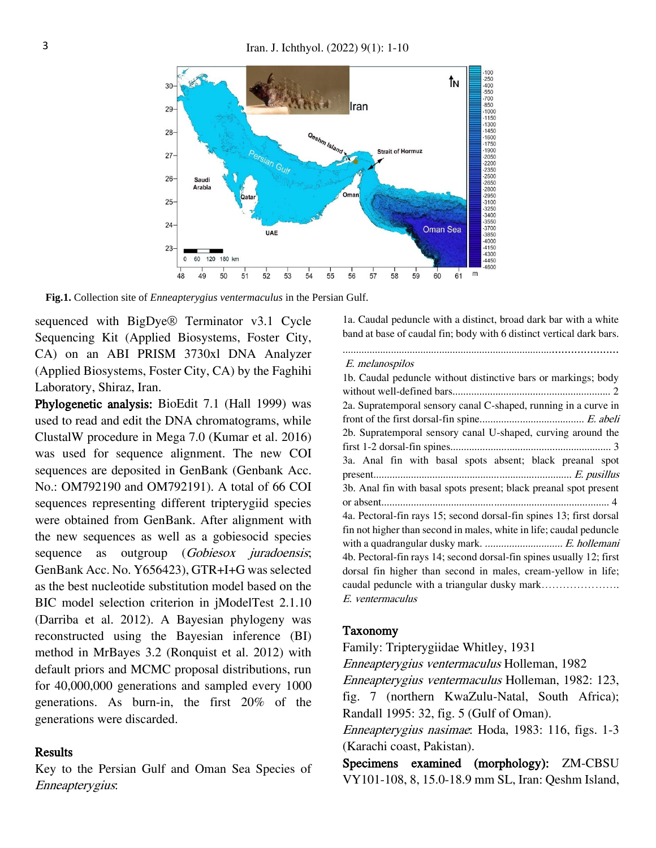

**Fig.1.** Collection site of *Enneapterygius ventermaculus* in the Persian Gulf.

sequenced with BigDye® Terminator v3.1 Cycle Sequencing Kit (Applied Biosystems, Foster City, CA) on an ABI PRISM 3730xl DNA Analyzer (Applied Biosystems, Foster City, CA) by the Faghihi Laboratory, Shiraz, Iran.

Phylogenetic analysis: BioEdit 7.1 (Hall 1999) was used to read and edit the DNA chromatograms, while ClustalW procedure in Mega 7.0 (Kumar et al. 2016) was used for sequence alignment. The new COI sequences are deposited in GenBank (Genbank Acc. No.: OM792190 and OM792191). A total of 66 COI sequences representing different tripterygiid species were obtained from GenBank. After alignment with the new sequences as well as a gobiesocid species sequence as outgroup (Gobiesox juradoensis; GenBank Acc. No. Y656423), GTR+I+G was selected as the best nucleotide substitution model based on the BIC model selection criterion in jModelTest 2.1.10 (Darriba et al. 2012). A Bayesian phylogeny was reconstructed using the Bayesian inference (BI) method in MrBayes 3.2 (Ronquist et al. 2012) with default priors and MCMC proposal distributions, run for 40,000,000 generations and sampled every 1000 generations. As burn-in, the first 20% of the generations were discarded.

### **Results**

Key to the Persian Gulf and Oman Sea Species of Enneapterygius:

1a. Caudal peduncle with a distinct, broad dark bar with a white band at base of caudal fin; body with 6 distinct vertical dark bars. ...................................................................................................

#### E. melanospilos

1b. Caudal peduncle without distinctive bars or markings; body without well-defined bars........................................................... 2 2a. Supratemporal sensory canal C-shaped, running in a curve in front of the first dorsal-fin spine....................................... E. abeli 2b. Supratemporal sensory canal U-shaped, curving around the first 1-2 dorsal-fin spines............................................................ 3 3a. Anal fin with basal spots absent; black preanal spot present.......................................................................... E. pusillus 3b. Anal fin with basal spots present; black preanal spot present or absent..................................................................................... 4 4a. Pectoral-fin rays 15; second dorsal-fin spines 13; first dorsal fin not higher than second in males, white in life; caudal peduncle with a quadrangular dusky mark. ............................. E. hollemani 4b. Pectoral-fin rays 14; second dorsal-fin spines usually 12; first dorsal fin higher than second in males, cream-yellow in life; caudal peduncle with a triangular dusky mark…………………. E. ventermaculus

#### Taxonomy

Family: Tripterygiidae Whitley, 1931

Enneapterygius ventermaculus Holleman, 1982

Enneapterygius ventermaculus Holleman, 1982: 123, fig. 7 (northern KwaZulu-Natal, South Africa); Randall 1995: 32, fig. 5 (Gulf of Oman).

Enneapterygius nasimae: Hoda, 1983: 116, figs. 1-3 (Karachi coast, Pakistan).

Specimens examined (morphology): ZM-CBSU VY101-108, 8, 15.0-18.9 mm SL, Iran: Qeshm Island,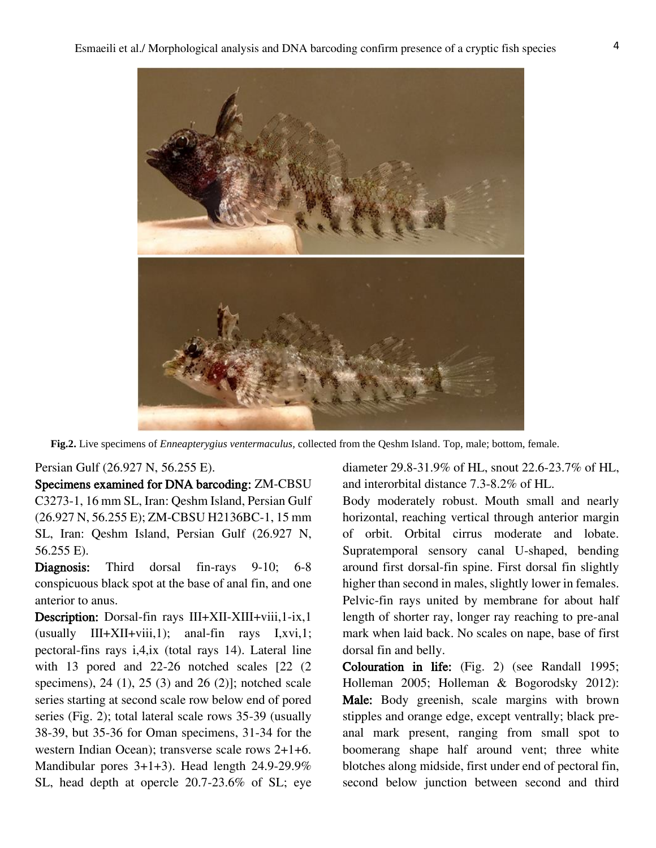

**Fig.2.** Live specimens of *Enneapterygius ventermaculus,* collected from the Qeshm Island. Top, male; bottom, female.

## Persian Gulf (26.927 N, 56.255 E).

Specimens examined for DNA barcoding: ZM-CBSU C3273-1, 16 mm SL, Iran: Qeshm Island, Persian Gulf (26.927 N, 56.255 E); ZM-CBSU H2136BC-1, 15 mm SL, Iran: Qeshm Island, Persian Gulf (26.927 N, 56.255 E).

Diagnosis: Third dorsal fin-rays 9-10; 6-8 conspicuous black spot at the base of anal fin, and one anterior to anus.

Description: Dorsal-fin rays III+XII-XIII+viii,1-ix,1  $($ usually III+XII+viii,1); anal-fin rays I,xvi,1; pectoral-fins rays i,4,ix (total rays 14). Lateral line with 13 pored and 22-26 notched scales [22 (2) specimens), 24 (1), 25 (3) and 26 (2)]; notched scale series starting at second scale row below end of pored series (Fig. 2); total lateral scale rows 35-39 (usually 38-39, but 35-36 for Oman specimens, 31-34 for the western Indian Ocean); transverse scale rows 2+1+6. Mandibular pores 3+1+3). Head length 24.9-29.9% SL, head depth at opercle 20.7-23.6% of SL; eye

diameter 29.8-31.9% of HL, snout 22.6-23.7% of HL, and interorbital distance 7.3-8.2% of HL.

Body moderately robust. Mouth small and nearly horizontal, reaching vertical through anterior margin of orbit. Orbital cirrus moderate and lobate. Supratemporal sensory canal U-shaped, bending around first dorsal-fin spine. First dorsal fin slightly higher than second in males, slightly lower in females. Pelvic-fin rays united by membrane for about half length of shorter ray, longer ray reaching to pre-anal mark when laid back. No scales on nape, base of first dorsal fin and belly.

Colouration in life: (Fig. 2) (see Randall 1995; Holleman 2005; Holleman & Bogorodsky 2012): Male: Body greenish, scale margins with brown stipples and orange edge, except ventrally; black preanal mark present, ranging from small spot to boomerang shape half around vent; three white blotches along midside, first under end of pectoral fin, second below junction between second and third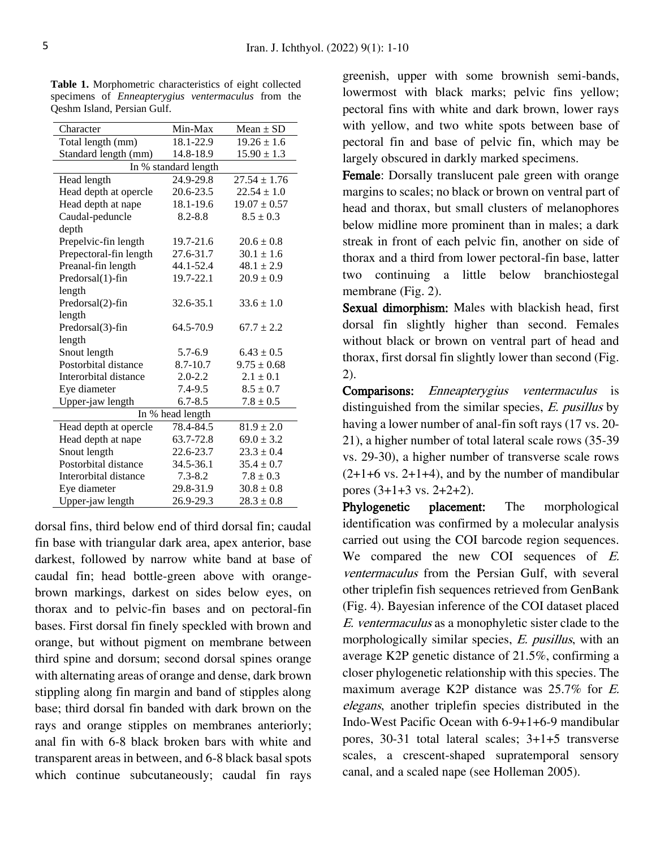| Character              | Min-Max     | Mean $\pm$ SD    |  |  |  |  |  |
|------------------------|-------------|------------------|--|--|--|--|--|
| Total length (mm)      | 18.1-22.9   | $19.26 \pm 1.6$  |  |  |  |  |  |
| Standard length (mm)   | 14.8-18.9   | $15.90 \pm 1.3$  |  |  |  |  |  |
| In % standard length   |             |                  |  |  |  |  |  |
| Head length            | 24.9-29.8   | $27.54 \pm 1.76$ |  |  |  |  |  |
| Head depth at opercle  | 20.6-23.5   | $22.54 \pm 1.0$  |  |  |  |  |  |
| Head depth at nape     | 18.1-19.6   | $19.07 \pm 0.57$ |  |  |  |  |  |
| Caudal-peduncle        | $8.2 - 8.8$ | $8.5 \pm 0.3$    |  |  |  |  |  |
| depth                  |             |                  |  |  |  |  |  |
| Prepelvic-fin length   | 19.7-21.6   | $20.6 \pm 0.8$   |  |  |  |  |  |
| Prepectoral-fin length | 27.6-31.7   | $30.1 \pm 1.6$   |  |  |  |  |  |
| Preanal-fin length     | 44.1-52.4   | $48.1 \pm 2.9$   |  |  |  |  |  |
| Predorsal(1)-fin       | 19.7-22.1   | $20.9 \pm 0.9$   |  |  |  |  |  |
| length                 |             |                  |  |  |  |  |  |
| Predorsal(2)-fin       | 32.6-35.1   | $33.6 \pm 1.0$   |  |  |  |  |  |
| length                 |             |                  |  |  |  |  |  |
| Predorsal(3)-fin       | 64.5-70.9   | $67.7 \pm 2.2$   |  |  |  |  |  |
| length                 |             |                  |  |  |  |  |  |
| Snout length           | $5.7 - 6.9$ | $6.43 \pm 0.5$   |  |  |  |  |  |
| Postorbital distance   | 8.7-10.7    | $9.75 \pm 0.68$  |  |  |  |  |  |
| Interorbital distance  | $2.0 - 2.2$ | $2.1 \pm 0.1$    |  |  |  |  |  |
| Eye diameter           | $7.4 - 9.5$ | $8.5 \pm 0.7$    |  |  |  |  |  |
| Upper-jaw length       | $6.7 - 8.5$ | $7.8 \pm 0.5$    |  |  |  |  |  |
| In % head length       |             |                  |  |  |  |  |  |
| Head depth at opercle  | 78.4-84.5   | $81.9 \pm 2.0$   |  |  |  |  |  |
| Head depth at nape     | 63.7-72.8   | $69.0 \pm 3.2$   |  |  |  |  |  |
| Snout length           | 22.6-23.7   | $23.3 \pm 0.4$   |  |  |  |  |  |
| Postorbital distance   | 34.5-36.1   | $35.4 \pm 0.7$   |  |  |  |  |  |
| Interorbital distance  | $7.3 - 8.2$ | $7.8 \pm 0.3$    |  |  |  |  |  |
| Eye diameter           | 29.8-31.9   | $30.8 \pm 0.8$   |  |  |  |  |  |
| Upper-jaw length       | 26.9-29.3   | $28.3 \pm 0.8$   |  |  |  |  |  |

**Table 1.** Morphometric characteristics of eight collected specimens of *Enneapterygius ventermaculus* from the Qeshm Island, Persian Gulf.

dorsal fins, third below end of third dorsal fin; caudal fin base with triangular dark area, apex anterior, base darkest, followed by narrow white band at base of caudal fin; head bottle-green above with orangebrown markings, darkest on sides below eyes, on thorax and to pelvic-fin bases and on pectoral-fin bases. First dorsal fin finely speckled with brown and orange, but without pigment on membrane between third spine and dorsum; second dorsal spines orange with alternating areas of orange and dense, dark brown stippling along fin margin and band of stipples along base; third dorsal fin banded with dark brown on the rays and orange stipples on membranes anteriorly; anal fin with 6-8 black broken bars with white and transparent areas in between, and 6-8 black basal spots which continue subcutaneously; caudal fin rays

greenish, upper with some brownish semi-bands, lowermost with black marks; pelvic fins yellow; pectoral fins with white and dark brown, lower rays with yellow, and two white spots between base of pectoral fin and base of pelvic fin, which may be largely obscured in darkly marked specimens.

Female: Dorsally translucent pale green with orange margins to scales; no black or brown on ventral part of head and thorax, but small clusters of melanophores below midline more prominent than in males; a dark streak in front of each pelvic fin, another on side of thorax and a third from lower pectoral-fin base, latter two continuing a little below branchiostegal membrane (Fig. 2).

Sexual dimorphism: Males with blackish head, first dorsal fin slightly higher than second. Females without black or brown on ventral part of head and thorax, first dorsal fin slightly lower than second (Fig. 2).

Comparisons: Enneapterygius ventermaculus is distinguished from the similar species, E. pusillus by having a lower number of anal-fin soft rays (17 vs. 20- 21), a higher number of total lateral scale rows (35-39 vs. 29-30), a higher number of transverse scale rows  $(2+1+6 \text{ vs. } 2+1+4)$ , and by the number of mandibular pores (3+1+3 vs. 2+2+2).

Phylogenetic placement: The morphological identification was confirmed by a molecular analysis carried out using the COI barcode region sequences. We compared the new COI sequences of  $E$ . ventermaculus from the Persian Gulf, with several other triplefin fish sequences retrieved from GenBank (Fig. 4). Bayesian inference of the COI dataset placed E. ventermaculus as a monophyletic sister clade to the morphologically similar species, E. pusillus, with an average K2P genetic distance of 21.5%, confirming a closer phylogenetic relationship with this species. The maximum average K2P distance was 25.7% for E. elegans, another triplefin species distributed in the Indo-West Pacific Ocean with 6-9+1+6-9 mandibular pores, 30-31 total lateral scales; 3+1+5 transverse scales, a crescent-shaped supratemporal sensory canal, and a scaled nape (see Holleman 2005).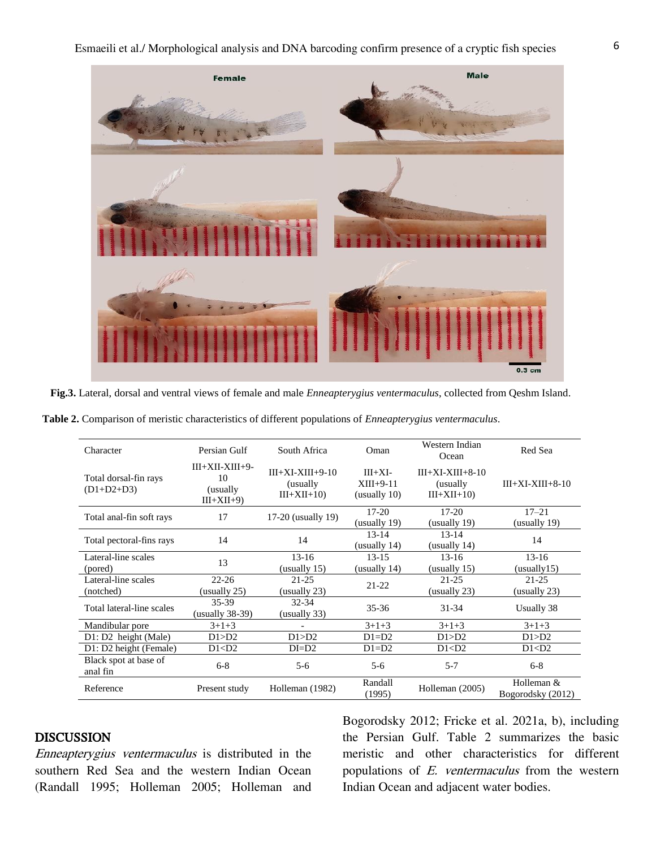

**Fig.3.** Lateral, dorsal and ventral views of female and male *Enneapterygius ventermaculus*, collected from Qeshm Island.

| Table 2. Comparison of meristic characteristics of different populations of <i>Enneapterygius ventermaculus</i> . |
|-------------------------------------------------------------------------------------------------------------------|
|-------------------------------------------------------------------------------------------------------------------|

| Character                             | Persian Gulf                                        | South Africa                                    | Oman                                     | Western Indian<br>Ocean                         | Red Sea                           |
|---------------------------------------|-----------------------------------------------------|-------------------------------------------------|------------------------------------------|-------------------------------------------------|-----------------------------------|
| Total dorsal-fin rays<br>$(D1+D2+D3)$ | $III+XII-XIII+9-$<br>10<br>(usually)<br>$III+XII+9$ | $III+XI-XIII+9-10$<br>(usually)<br>$III+XII+10$ | $III+XI-$<br>$XIII+9-11$<br>(usually 10) | $III+XI-XIII+8-10$<br>(usually)<br>$III+XII+10$ | $III+XI-XIII+8-10$                |
| Total anal-fin soft rays              | 17                                                  | 17-20 (usually 19)                              | $17-20$<br>(usually 19)                  | $17-20$<br>(usually 19)                         | $17 - 21$<br>(usually 19)         |
| Total pectoral-fins rays              | 14                                                  | 14                                              | $13 - 14$<br>(usually 14)                | $13 - 14$<br>(usually 14)                       | 14                                |
| Lateral-line scales<br>(pored)        | 13                                                  | $13-16$<br>(usually 15)                         | $13 - 15$<br>(usually 14)                | $13-16$<br>(usually $15$ )                      | $13-16$<br>(usually 15)           |
| Lateral-line scales<br>(notched)      | $22 - 26$<br>(usually 25)                           | $21 - 25$<br>(usually 23)                       | $21 - 22$                                | $21 - 25$<br>(usually 23)                       | $21 - 25$<br>(usually $23$ )      |
| Total lateral-line scales             | 35-39<br>$(usually 38-39)$                          | $32 - 34$<br>(usually 33)                       | $35 - 36$                                | $31 - 34$                                       | Usually 38                        |
| Mandibular pore                       | $3+1+3$                                             |                                                 | $3+1+3$                                  | $3+1+3$                                         | $3+1+3$                           |
| $D1: D2$ height (Male)                | D1 > D2                                             | D1 > D2                                         | $D1=D2$                                  | D1 > D2                                         | D1 > D2                           |
| D1: D2 height (Female)                | D1 < D2                                             | $DI = D2$                                       | $D1=D2$                                  | D1 < D2                                         | D1 < D2                           |
| Black spot at base of<br>anal fin     | $6 - 8$                                             | $5-6$                                           | $5-6$                                    | $5 - 7$                                         | $6 - 8$                           |
| Reference                             | Present study                                       | Holleman (1982)                                 | Randall<br>(1995)                        | Holleman (2005)                                 | Holleman $&$<br>Bogorodsky (2012) |

## DISCUSSION

Enneapterygius ventermaculus is distributed in the southern Red Sea and the western Indian Ocean (Randall 1995; Holleman 2005; Holleman and Bogorodsky 2012; Fricke et al. 2021a, b), including the Persian Gulf. Table 2 summarizes the basic meristic and other characteristics for different populations of E. ventermaculus from the western Indian Ocean and adjacent water bodies.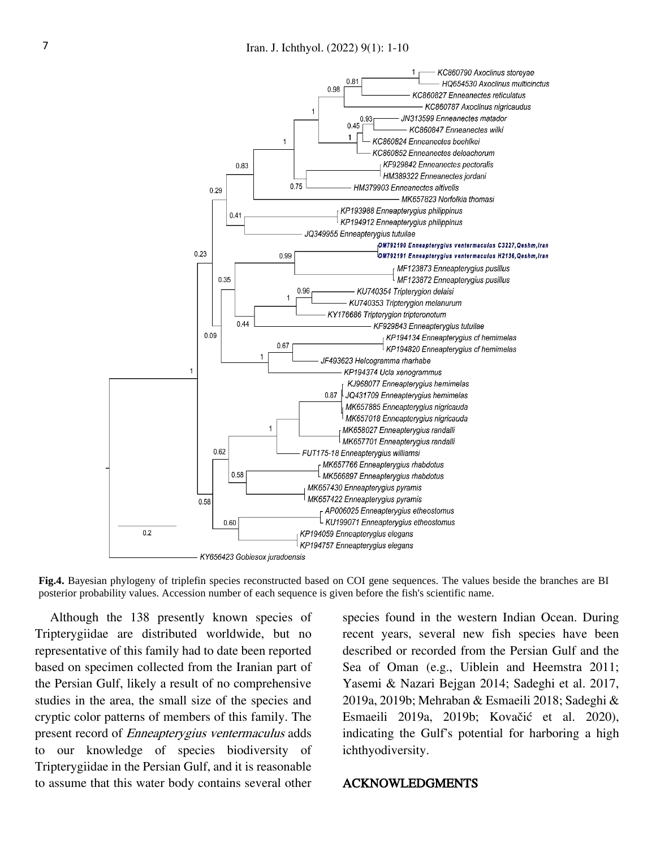

**Fig.4.** Bayesian phylogeny of triplefin species reconstructed based on COI gene sequences. The values beside the branches are BI posterior probability values. Accession number of each sequence is given before the fish's scientific name.

Although the 138 presently known species of Tripterygiidae are distributed worldwide, but no representative of this family had to date been reported based on specimen collected from the Iranian part of the Persian Gulf, likely a result of no comprehensive studies in the area, the small size of the species and cryptic color patterns of members of this family. The present record of Enneapterygius ventermaculus adds to our knowledge of species biodiversity of Tripterygiidae in the Persian Gulf, and it is reasonable to assume that this water body contains several other

species found in the western Indian Ocean. During recent years, several new fish species have been described or recorded from the Persian Gulf and the Sea of Oman (e.g., Uiblein and Heemstra 2011; Yasemi & Nazari Bejgan 2014; Sadeghi et al. 2017, 2019a, 2019b; Mehraban & Esmaeili 2018; Sadeghi & Esmaeili 2019a, 2019b; Kovačić et al. 2020), indicating the Gulf's potential for harboring a high ichthyodiversity.

## ACKNOWLEDGMENTS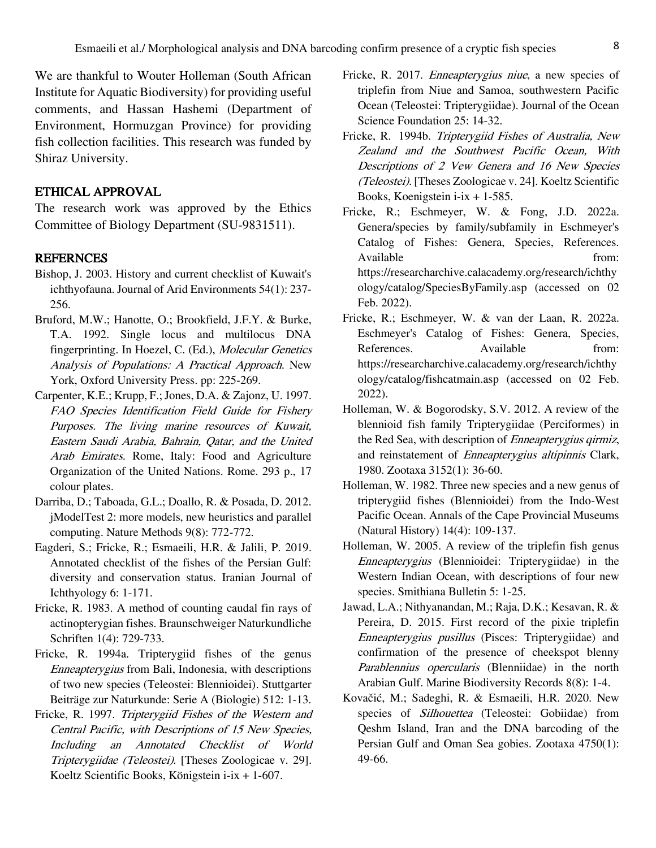We are thankful to Wouter Holleman (South African Institute for Aquatic Biodiversity) for providing useful comments, and Hassan Hashemi (Department of Environment, Hormuzgan Province) for providing fish collection facilities. This research was funded by Shiraz University.

## ETHICAL APPROVAL

The research work was approved by the Ethics Committee of Biology Department (SU-9831511).

### **REFERNCES**

- Bishop, J. 2003. History and current checklist of Kuwait's ichthyofauna. Journal of Arid Environments 54(1): 237- 256.
- Bruford, M.W.; Hanotte, O.; Brookfield, J.F.Y. & Burke, T.A. 1992. Single locus and multilocus DNA fingerprinting. In Hoezel, C. (Ed.), Molecular Genetics Analysis of Populations: A Practical Approach. New York, Oxford University Press. pp: 225-269.
- Carpenter, K.E.; Krupp, F.; Jones, D.A. & Zajonz, U. 1997. FAO Species Identification Field Guide for Fishery Purposes. The living marine resources of Kuwait, Eastern Saudi Arabia, Bahrain, Qatar, and the United Arab Emirates. Rome, Italy: Food and Agriculture Organization of the United Nations. Rome. 293 p., 17 colour plates.
- Darriba, D.; Taboada, G.L.; Doallo, R. & Posada, D. 2012. jModelTest 2: more models, new heuristics and parallel computing. Nature Methods 9(8): 772-772.
- Eagderi, S.; Fricke, R.; Esmaeili, H.R. & Jalili, P. 2019. Annotated checklist of the fishes of the Persian Gulf: diversity and conservation status. Iranian Journal of Ichthyology 6: 1-171.
- Fricke, R. 1983. A method of counting caudal fin rays of actinopterygian fishes. Braunschweiger Naturkundliche Schriften 1(4): 729-733.
- Fricke, R. 1994a. Tripterygiid fishes of the genus Enneapterygius from Bali, Indonesia, with descriptions of two new species (Teleostei: Blennioidei). Stuttgarter Beiträge zur Naturkunde: Serie A (Biologie) 512: 1-13.
- Fricke, R. 1997. Tripterygiid Fishes of the Western and Central Pacific, with Descriptions of 15 New Species, Including an Annotated Checklist of World Tripterygiidae (Teleostei). [Theses Zoologicae v. 29]. Koeltz Scientific Books, Königstein i-ix + 1-607.
- Fricke, R. 2017. *Enneapterygius niue*, a new species of triplefin from Niue and Samoa, southwestern Pacific Ocean (Teleostei: Tripterygiidae). Journal of the Ocean Science Foundation 25: 14-32.
- Fricke, R. 1994b. Tripterygiid Fishes of Australia, New Zealand and the Southwest Pacific Ocean, With Descriptions of 2 Vew Genera and 16 New Species (Teleostei). [Theses Zoologicae v. 24]. Koeltz Scientific Books, Koenigstein i-ix + 1-585.
- Fricke, R.; Eschmeyer, W. & Fong, J.D. 2022a. Genera/species by family/subfamily in Eschmeyer's Catalog of Fishes: Genera, Species, References. Available from: from: https://researcharchive.calacademy.org/research/ichthy ology/catalog/SpeciesByFamily.asp (accessed on 02 Feb. 2022).
- Fricke, R.; Eschmeyer, W. & van der Laan, R. 2022a. Eschmeyer's Catalog of Fishes: Genera, Species, References. Available from: https://researcharchive.calacademy.org/research/ichthy ology/catalog/fishcatmain.asp (accessed on 02 Feb. 2022).
- Holleman, W. & Bogorodsky, S.V. 2012. A review of the blennioid fish family Tripterygiidae (Perciformes) in the Red Sea, with description of Enneapterygius qirmiz, and reinstatement of Enneapterygius altipinnis Clark, 1980. Zootaxa 3152(1): 36-60.
- Holleman, W. 1982. Three new species and a new genus of tripterygiid fishes (Blennioidei) from the Indo-West Pacific Ocean. Annals of the Cape Provincial Museums (Natural History) 14(4): 109-137.
- Holleman, W. 2005. A review of the triplefin fish genus Enneapterygius (Blennioidei: Tripterygiidae) in the Western Indian Ocean, with descriptions of four new species. Smithiana Bulletin 5: 1-25.
- Jawad, L.A.; Nithyanandan, M.; Raja, D.K.; Kesavan, R. & Pereira, D. 2015. First record of the pixie triplefin Enneapterygius pusillus (Pisces: Tripterygiidae) and confirmation of the presence of cheekspot blenny Parablennius opercularis (Blenniidae) in the north Arabian Gulf. Marine Biodiversity Records 8(8): 1-4.
- Kovačić, M.; Sadeghi, R. & Esmaeili, H.R. 2020. New species of *Silhouettea* (Teleostei: Gobiidae) from Qeshm Island, Iran and the DNA barcoding of the Persian Gulf and Oman Sea gobies. Zootaxa 4750(1): 49-66.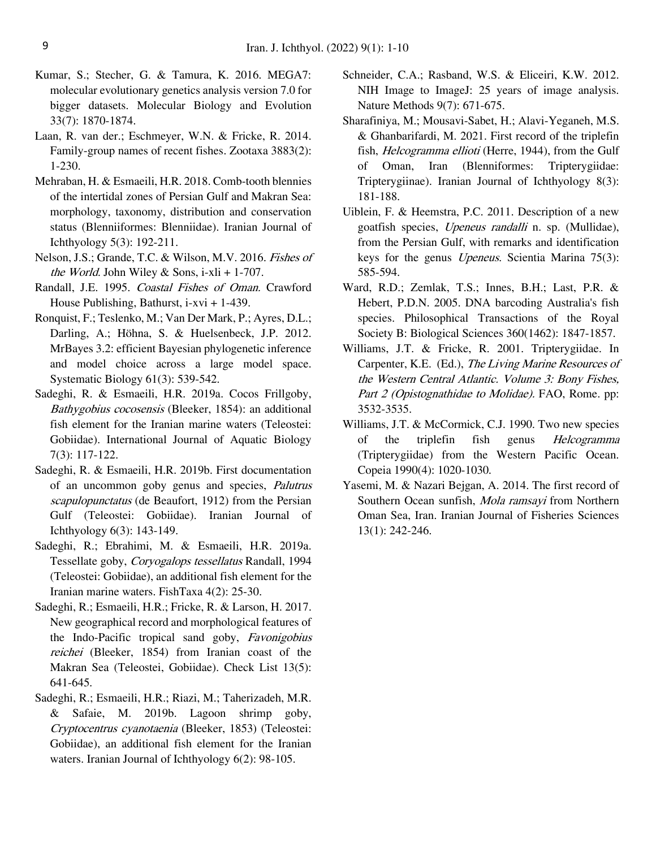- Kumar, S.; Stecher, G. & Tamura, K. 2016. MEGA7: molecular evolutionary genetics analysis version 7.0 for bigger datasets. Molecular Biology and Evolution 33(7): 1870-1874.
- Laan, R. van der.; Eschmeyer, W.N. & Fricke, R. 2014. Family-group names of recent fishes. Zootaxa 3883(2): 1-230.
- Mehraban, H. & Esmaeili, H.R. 2018. Comb-tooth blennies of the intertidal zones of Persian Gulf and Makran Sea: morphology, taxonomy, distribution and conservation status (Blenniiformes: Blenniidae). Iranian Journal of Ichthyology 5(3): 192-211.
- Nelson, J.S.; Grande, T.C. & Wilson, M.V. 2016. Fishes of the World. John Wiley & Sons, i-xli + 1-707.
- Randall, J.E. 1995. Coastal Fishes of Oman. Crawford House Publishing, Bathurst, i-xvi + 1-439.
- Ronquist, F.; Teslenko, M.; Van Der Mark, P.; Ayres, D.L.; Darling, A.; Höhna, S. & Huelsenbeck, J.P. 2012. MrBayes 3.2: efficient Bayesian phylogenetic inference and model choice across a large model space. Systematic Biology 61(3): 539-542.
- Sadeghi, R. & Esmaeili, H.R. 2019a. Cocos Frillgoby, Bathygobius cocosensis (Bleeker, 1854): an additional fish element for the Iranian marine waters (Teleostei: Gobiidae). International Journal of Aquatic Biology 7(3): 117-122.
- Sadeghi, R. & Esmaeili, H.R. 2019b. First documentation of an uncommon goby genus and species, Palutrus scapulopunctatus (de Beaufort, 1912) from the Persian Gulf (Teleostei: Gobiidae). Iranian Journal of Ichthyology 6(3): 143-149.
- Sadeghi, R.; Ebrahimi, M. & Esmaeili, H.R. 2019a. Tessellate goby, Coryogalops tessellatus Randall, 1994 (Teleostei: Gobiidae), an additional fish element for the Iranian marine waters. FishTaxa 4(2): 25-30.
- Sadeghi, R.; Esmaeili, H.R.; Fricke, R. & Larson, H. 2017. New geographical record and morphological features of the Indo-Pacific tropical sand goby, Favonigobius reichei (Bleeker, 1854) from Iranian coast of the Makran Sea (Teleostei, Gobiidae). Check List 13(5): 641-645.
- Sadeghi, R.; Esmaeili, H.R.; Riazi, M.; Taherizadeh, M.R. & Safaie, M. 2019b. Lagoon shrimp goby, Cryptocentrus cyanotaenia (Bleeker, 1853) (Teleostei: Gobiidae), an additional fish element for the Iranian waters. Iranian Journal of Ichthyology 6(2): 98-105.
- Schneider, C.A.; Rasband, W.S. & Eliceiri, K.W. 2012. NIH Image to ImageJ: 25 years of image analysis. Nature Methods 9(7): 671-675.
- Sharafiniya, M.; Mousavi-Sabet, H.; Alavi-Yeganeh, M.S. & Ghanbarifardi, M. 2021. First record of the triplefin fish, *Helcogramma ellioti* (Herre, 1944), from the Gulf of Oman, Iran (Blenniformes: Tripterygiidae: Tripterygiinae). Iranian Journal of Ichthyology 8(3): 181-188.
- Uiblein, F. & Heemstra, P.C. 2011. Description of a new goatfish species, Upeneus randalli n. sp. (Mullidae), from the Persian Gulf, with remarks and identification keys for the genus Upeneus. Scientia Marina 75(3): 585-594.
- Ward, R.D.; Zemlak, T.S.; Innes, B.H.; Last, P.R. & Hebert, P.D.N. 2005. DNA barcoding Australia's fish species. Philosophical Transactions of the Royal Society B: Biological Sciences 360(1462): 1847-1857.
- Williams, J.T. & Fricke, R. 2001. Tripterygiidae. In Carpenter, K.E. (Ed.), The Living Marine Resources of the Western Central Atlantic. Volume 3: Bony Fishes, Part 2 (Opistognathidae to Molidae). FAO, Rome. pp: 3532-3535.
- Williams, J.T. & McCormick, C.J. 1990. Two new species of the triplefin fish genus Helcogramma (Tripterygiidae) from the Western Pacific Ocean. Copeia 1990(4): 1020-1030.
- Yasemi, M. & Nazari Bejgan, A. 2014. The first record of Southern Ocean sunfish, *Mola ramsayi* from Northern Oman Sea, Iran. Iranian Journal of Fisheries Sciences 13(1): 242-246.